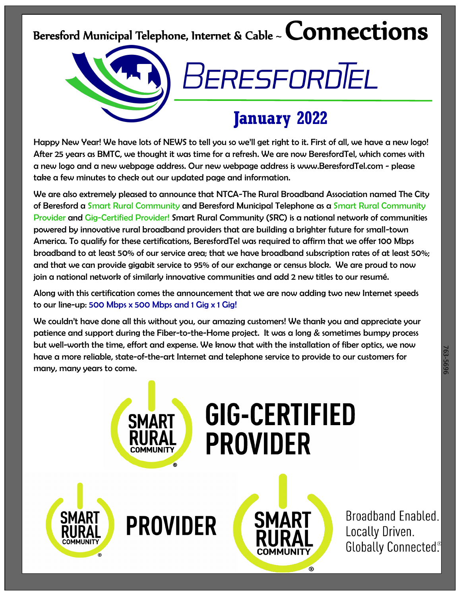## Beresford Municipal Telephone, Internet & Cable ~  ${\sf Connections}$

# BeresfordTel

### **January 2022**

Happy New Year! We have lots of NEWS to tell you so we'll get right to it. First of all, we have a new logo! After 25 years as BMTC, we thought it was time for a refresh. We are now BeresfordTel, which comes with a new logo and a new webpage address. Our new webpage address is www.BeresfordTel.com - please take a few minutes to check out our updated page and information.

We are also extremely pleased to announce that NTCA-The Rural Broadband Association named The City of Beresford a Smart Rural Community and Beresford Municipal Telephone as a Smart Rural Community Provider and Gig-Certified Provider! Smart Rural Community (SRC) is a national network of communities powered by innovative rural broadband providers that are building a brighter future for small-town America. To qualify for these certifications, BeresfordTel was required to affirm that we offer 100 Mbps broadband to at least 50% of our service area; that we have broadband subscription rates of at least 50%; and that we can provide gigabit service to 95% of our exchange or census block. We are proud to now join a national network of similarly innovative communities and add 2 new titles to our resumé.

Along with this certification comes the announcement that we are now adding two new Internet speeds to our line-up: 500 Mbps x 500 Mbps and 1 Gig x 1 Gig!

We couldn't have done all this without you, our amazing customers! We thank you and appreciate your patience and support during the Fiber-to-the-Home project. It was a long & sometimes bumpy process but well-worth the time, effort and expense. We know that with the installation of fiber optics, we now have a more reliable, state-of-the-art Internet and telephone service to provide to our customers for many, many years to come.



Broadband Enabled. Locally Driven. Globally Connected®